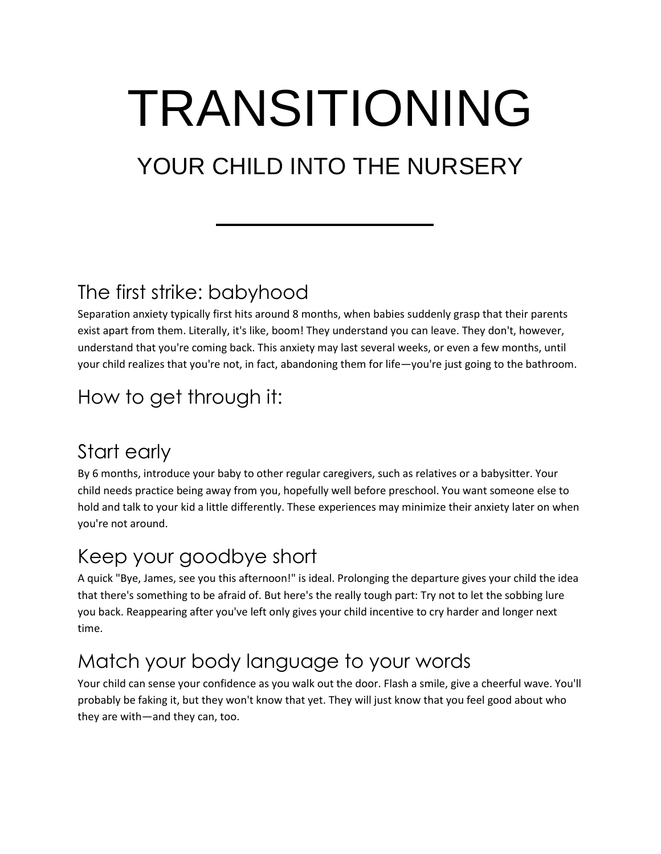# TRANSITIONING

## YOUR CHILD INTO THE NURSERY

#### The first strike: babyhood

Separation anxiety typically first hits around 8 months, when babies suddenly grasp that their parents exist apart from them. Literally, it's like, boom! They understand you can leave. They don't, however, understand that you're coming back. This anxiety may last several weeks, or even a few months, until your child realizes that you're not, in fact, abandoning them for life—you're just going to the bathroom.

#### How to get through it:

#### Start early

By 6 months, introduce your baby to other regular caregivers, such as relatives or a babysitter. Your child needs practice being away from you, hopefully well before preschool. You want someone else to hold and talk to your kid a little differently. These experiences may minimize their anxiety later on when you're not around.

#### Keep your goodbye short

A quick "Bye, James, see you this afternoon!" is ideal. Prolonging the departure gives your child the idea that there's something to be afraid of. But here's the really tough part: Try not to let the sobbing lure you back. Reappearing after you've left only gives your child incentive to cry harder and longer next time.

#### Match your body language to your words

Your child can sense your confidence as you walk out the door. Flash a smile, give a cheerful wave. You'll probably be faking it, but they won't know that yet. They will just know that you feel good about who they are with—and they can, too.